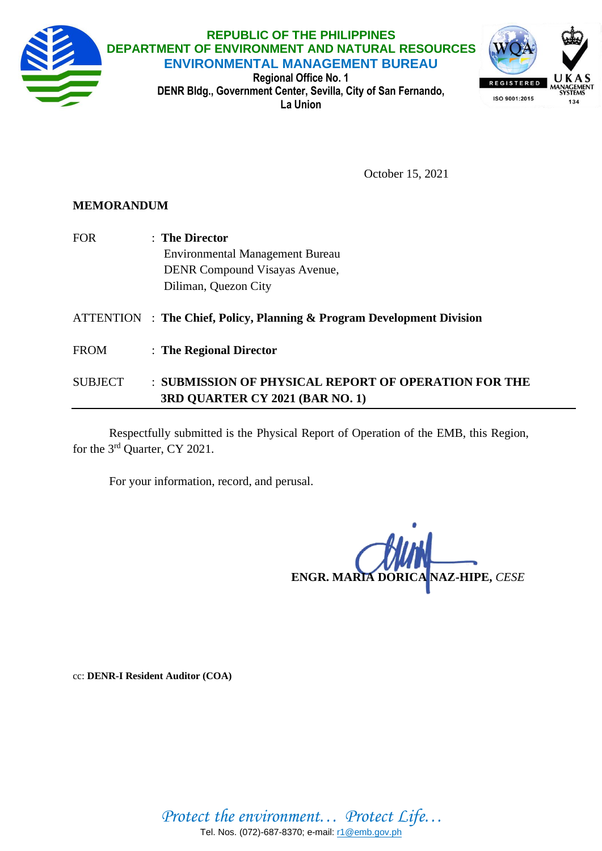

October 15, 2021

## **MEMORANDUM**

- FOR : **The Director** Environmental Management Bureau DENR Compound Visayas Avenue, Diliman, Quezon City ATTENTION : **The Chief, Policy, Planning & Program Development Division**
- FROM : **The Regional Director**

## SUBJECT : **SUBMISSION OF PHYSICAL REPORT OF OPERATION FOR THE 3RD QUARTER CY 2021 (BAR NO. 1)**

Respectfully submitted is the Physical Report of Operation of the EMB, this Region, for the 3<sup>rd</sup> Quarter, CY 2021.

For your information, record, and perusal.

**ENGR. MARIA DORICA NAZ-HIPE,** *CESE*

cc: **DENR-I Resident Auditor (COA)**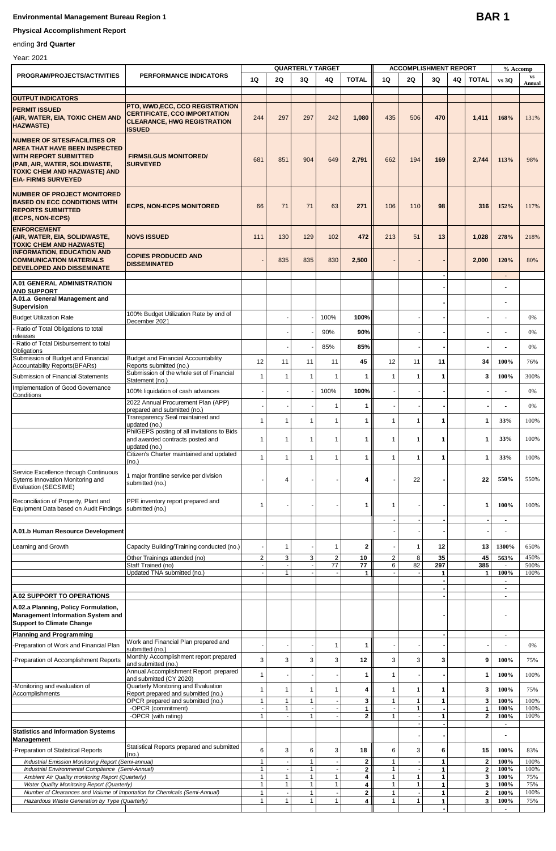## **Environmental Management Bureau Region 1**

## **Physical Accomplishment Report**

ending **3rd Quarter**

| Year: 2021 |
|------------|
|            |

| PROGRAM/PROJECTS/ACTIVITIES                                                                                                                                                                                 | PERFORMANCE INDICATORS                                                                           | 1Q                           | 20                           | <b>QUARTERLY TARGET</b><br>3Q | 4Q                       | <b>TOTAL</b> | 1Q                | <b>ACCOMPLISHMENT REPORT</b><br>2Q | 30                 | 4Q | <b>TOTAL</b>      | % Accomp<br>vs 30                | $\mathbf{v}\mathbf{s}$ |
|-------------------------------------------------------------------------------------------------------------------------------------------------------------------------------------------------------------|--------------------------------------------------------------------------------------------------|------------------------------|------------------------------|-------------------------------|--------------------------|--------------|-------------------|------------------------------------|--------------------|----|-------------------|----------------------------------|------------------------|
|                                                                                                                                                                                                             |                                                                                                  |                              |                              |                               |                          |              |                   |                                    |                    |    |                   |                                  | Annual                 |
| <b>OUTPUT INDICATORS</b>                                                                                                                                                                                    | <b>PTO, WWD,ECC, CCO REGISTRATION</b>                                                            |                              |                              |                               |                          |              |                   |                                    |                    |    |                   |                                  |                        |
| <b>PERMIT ISSUED</b><br>(AIR, WATER, EIA, TOXIC CHEM AND<br><b>HAZWASTE)</b>                                                                                                                                | <b>CERTIFICATE, CCO IMPORTATION</b><br><b>CLEARANCE, HWG REGISTRATION</b><br><b>ISSUED</b>       | 244                          | 297                          | 297                           | 242                      | 1,080        | 435               | 506                                | 470                |    | 1,411             | 168%                             | 131%                   |
| <b>NUMBER OF SITES/FACILITIES OR</b><br><b>AREA THAT HAVE BEEN INSPECTED</b><br><b>WITH REPORT SUBMITTED</b><br>(PAB, AIR, WATER, SOLIDWASTE,<br>TOXIC CHEM AND HAZWASTE) AND<br><b>EIA- FIRMS SURVEYED</b> | <b>FIRMS/LGUS MONITORED/</b><br><b>SURVEYED</b>                                                  | 681                          | 851                          | 904                           | 649                      | 2,791        | 662               | 194                                | 169                |    | 2,744             | 113%                             | 98%                    |
| <b>NUMBER OF PROJECT MONITORED</b><br><b>BASED ON ECC CONDITIONS WITH</b><br><b>REPORTS SUBMITTED</b><br>(ECPS, NON-ECPS)                                                                                   | <b>ECPS, NON-ECPS MONITORED</b>                                                                  | 66                           | 71                           | 71                            | 63                       | 271          | 106               | 110                                | 98                 |    | 316               | 152%                             | 117%                   |
| <b>ENFORCEMENT</b><br>(AIR, WATER, EIA, SOLIDWASTE,<br><b>TOXIC CHEM AND HAZWASTE)</b>                                                                                                                      | <b>NOVS ISSUED</b>                                                                               | 111                          | 130                          | 129                           | 102                      | 472          | 213               | 51                                 | 13                 |    | 1,028             | 278%                             | 218%                   |
| <b>INFORMATION, EDUCATION AND</b><br><b>COMMUNICATION MATERIALS</b><br>DEVELOPED AND DISSEMINATE                                                                                                            | <b>COPIES PRODUCED AND</b><br><b>DISSEMINATED</b>                                                |                              | 835                          | 835                           | 830                      | 2,500        |                   |                                    |                    |    | 2,000             | 120%                             | 80%                    |
| <b>A.01 GENERAL ADMINISTRATION</b><br><b>AND SUPPORT</b>                                                                                                                                                    |                                                                                                  |                              |                              |                               |                          |              |                   |                                    |                    |    |                   | $\blacksquare$                   |                        |
| A.01.a General Management and<br><b>Supervision</b>                                                                                                                                                         |                                                                                                  |                              |                              |                               |                          |              |                   |                                    |                    |    |                   |                                  |                        |
| <b>Budget Utilization Rate</b>                                                                                                                                                                              | 100% Budget Utilization Rate by end of<br>December 2021                                          |                              |                              |                               | 100%                     | 100%         |                   |                                    |                    |    |                   |                                  | 0%                     |
| Ratio of Total Obligations to total                                                                                                                                                                         |                                                                                                  |                              |                              |                               | 90%                      | 90%          |                   |                                    |                    |    |                   |                                  | 0%                     |
| releases<br>Ratio of Total Disbursement to total                                                                                                                                                            |                                                                                                  |                              |                              |                               | 85%                      | 85%          |                   |                                    |                    |    |                   |                                  | 0%                     |
| Obligations<br>Submission of Budget and Financial                                                                                                                                                           | <b>Budget and Financial Accountability</b>                                                       |                              |                              |                               |                          |              |                   |                                    |                    |    |                   |                                  |                        |
| <b>Accountability Reports(BFARs)</b>                                                                                                                                                                        | Reports submitted (no.)<br>Submission of the whole set of Financial                              | 12                           | 11                           | 11                            | 11                       | 45           | 12                | 11                                 | 11                 |    | 34                | 100%                             | 76%                    |
| Submission of Financial Statements<br>Implementation of Good Governance                                                                                                                                     | Statement (no.)                                                                                  | $\overline{1}$               | $\mathbf{1}$                 | $\mathbf{1}$                  | $\overline{1}$           | 1            | $\overline{1}$    | 1                                  | 1                  |    | 3                 | 100%                             | 300%                   |
| Conditions                                                                                                                                                                                                  | 100% liquidation of cash advances                                                                |                              |                              |                               | 100%                     | 100%         |                   |                                    |                    |    |                   |                                  | 0%                     |
|                                                                                                                                                                                                             | 2022 Annual Procurement Plan (APP)<br>prepared and submitted (no.)                               |                              |                              |                               | $\mathbf 1$              | 1            |                   |                                    |                    |    |                   |                                  | 0%                     |
|                                                                                                                                                                                                             | Transparency Seal maintained and<br>updated (no.)                                                | $\mathbf 1$                  | $\mathbf{1}$                 | 1                             | $\mathbf 1$              | 1            | -1                | 1                                  | 1                  |    | 1                 | 33%                              | 100%                   |
|                                                                                                                                                                                                             | PhilGEPS posting of all invitations to Bids<br>and awarded contracts posted and<br>updated (no.) | $\mathbf{1}$                 | $\overline{1}$               | $\mathbf{1}$                  | $\overline{1}$           | 1            | $\overline{1}$    | 1                                  | 1                  |    | 1                 | 33%                              | 100%                   |
|                                                                                                                                                                                                             | Citizen's Charter maintained and updated<br>(no.)                                                | $\overline{1}$               | $\mathbf{1}$                 | 1                             | $\mathbf{1}$             | 1            | 1                 | $\overline{1}$                     | 1                  |    | 1                 | 33%                              | 100%                   |
| Service Excellence through Continuous<br>Sytems Innovation Monitoring and<br>Evaluation (SECSIME)                                                                                                           | 1 major frontline service per division<br>submitted (no.)                                        |                              | 4                            |                               |                          | 4            |                   | 22                                 |                    |    | 22                | 550%                             | 550%                   |
| Reconciliation of Property, Plant and<br>Equipment Data based on Audit Findings                                                                                                                             | PPE inventory report prepared and<br>submitted (no.)                                             | $\mathbf{1}$                 |                              |                               |                          | 1            | -1                |                                    |                    |    | 1                 | 100%                             | 100%                   |
| A.01.b Human Resource Development                                                                                                                                                                           |                                                                                                  |                              |                              |                               |                          |              |                   |                                    |                    |    |                   |                                  |                        |
| Learning and Growth                                                                                                                                                                                         | Capacity Building/Training conducted (no.)                                                       |                              | $\overline{1}$               |                               | $\mathbf{1}$             | 2            |                   | 1                                  | 12                 |    | 13                | 1300%                            | 650%                   |
|                                                                                                                                                                                                             | Other Trainings attended (no)<br>Staff Trained (no)                                              | 2                            | 3                            | 3                             | $\overline{c}$<br>77     | 10           | 2                 | 8<br>82                            | 35                 |    | 45<br>385         | 563%                             | 450%<br>500%           |
|                                                                                                                                                                                                             | Updated TNA submitted (no.)                                                                      |                              | $\mathbf{1}$                 | $\sim$                        |                          | 77<br>1      | 6                 |                                    | 297<br>$\mathbf 1$ |    | 1                 | $\blacksquare$<br>100%           | 100%                   |
|                                                                                                                                                                                                             |                                                                                                  |                              |                              |                               |                          |              |                   |                                    |                    |    |                   | $\blacksquare$<br>$\blacksquare$ |                        |
| <b>A.02 SUPPORT TO OPERATIONS</b>                                                                                                                                                                           |                                                                                                  |                              |                              |                               |                          |              |                   |                                    |                    |    |                   |                                  |                        |
| A.02.a Planning, Policy Formulation,<br><b>Management Information System and</b><br><b>Support to Climate Change</b>                                                                                        |                                                                                                  |                              |                              |                               |                          |              |                   |                                    |                    |    |                   |                                  |                        |
| <b>Planning and Programming</b>                                                                                                                                                                             | Work and Financial Plan prepared and                                                             |                              |                              |                               |                          |              |                   |                                    |                    |    |                   | $\overline{\phantom{a}}$         |                        |
| Preparation of Work and Financial Plan                                                                                                                                                                      | submitted (no.)<br>Monthly Accomplishment report prepared                                        |                              |                              |                               | $\overline{1}$           | 1            |                   |                                    |                    |    |                   |                                  | 0%                     |
| -Preparation of Accomplishment Reports                                                                                                                                                                      | and submitted (no.)                                                                              | 3                            | 3                            | 3                             | 3                        | 12           | 3                 | 3                                  | 3                  |    | 9                 | 100%                             | 75%                    |
|                                                                                                                                                                                                             | Annual Accomplishment Report prepared<br>and submitted (CY 2020)                                 | $\mathbf{1}$                 |                              |                               |                          | 1            | 1                 |                                    |                    |    | 1                 | 100%                             | 100%                   |
| -Monitoring and evaluation of<br>Accomplishments                                                                                                                                                            | Quarterly Monitoring and Evaluation<br>Report prepared and submitted (no.)                       | $\overline{1}$               | $\mathbf{1}$                 | $\mathbf{1}$                  | 1                        | 4            | 1                 | 1                                  | 1                  |    | 3                 | 100%                             | 75%                    |
|                                                                                                                                                                                                             | OPCR prepared and submitted (no.)<br>-OPCR (commitment)                                          | $\mathbf{1}$                 | $\mathbf{1}$<br>$\mathbf{1}$ | $\mathbf{1}$                  |                          | 3<br>1       | $\mathbf{1}$      | $\mathbf{1}$<br>1                  | $\mathbf{1}$       |    | 3<br>$\mathbf{1}$ | 100%<br>100%                     | 100%<br>100%           |
|                                                                                                                                                                                                             | -OPCR (with rating)                                                                              | $\mathbf{1}$                 |                              | $\mathbf{1}$                  |                          | $\mathbf{2}$ | $\mathbf{1}$      |                                    | 1                  |    | $\mathbf{2}$      | 100%<br>$\blacksquare$           | 100%                   |
| <b>Statistics and Information Systems</b>                                                                                                                                                                   |                                                                                                  |                              |                              |                               |                          |              |                   |                                    |                    |    |                   |                                  |                        |
| Management                                                                                                                                                                                                  | Statistical Reports prepared and submitted                                                       | 6                            | 3                            |                               | 3                        |              | 6                 | 3                                  |                    |    | 15                | 100%                             | 83%                    |
| -Preparation of Statistical Reports<br>Industrial Emission Monitoring Report (Semi-annual)                                                                                                                  | (no.)                                                                                            | $\mathbf{1}$                 |                              | 6<br>$\mathbf{1}$             | $\overline{\phantom{a}}$ | 18<br>2      | $\mathbf{1}$      |                                    | 6<br>$\mathbf{1}$  |    | $\mathbf{2}$      | 100%                             | 100%                   |
| Industrial Environmental Compliance (Semi-Annual)                                                                                                                                                           |                                                                                                  | $\mathbf{1}$                 |                              | $\mathbf{1}$                  |                          | $\mathbf{2}$ | $\mathbf{1}$      |                                    | 1                  |    | $\mathbf 2$       | 100%                             | 100%                   |
| Ambient Air Quality monitoring Report (Quarterly)<br>Water Quality Monitoring Report (Quarterly)                                                                                                            |                                                                                                  | $\mathbf{1}$<br>$\mathbf{1}$ | $\mathbf{1}$<br>$\mathbf{1}$ | $\mathbf{1}$<br>$\mathbf{1}$  | 1<br>$\mathbf{1}$        | 4<br>4       | 1<br>1            | 1<br>1                             | 1<br>1             |    | 3<br>3            | 100%<br>100%                     | 75%<br>75%             |
| Number of Clearances and Volume of Importation for Chemicals (Semi-Annual)<br>Hazardous Waste Generation by Type (Quarterly)                                                                                |                                                                                                  | $\mathbf{1}$<br>$\mathbf{1}$ | $\mathbf{1}$                 | $\mathbf{1}$<br>$\mathbf{1}$  | $\mathbf{1}$             | 2<br>4       | 1<br>$\mathbf{1}$ | 1                                  | 1<br>1             |    | $\bf{2}$<br>3     | 100%<br>100%                     | 100%<br>75%            |
|                                                                                                                                                                                                             |                                                                                                  |                              |                              |                               |                          |              |                   |                                    |                    |    |                   | $\blacksquare$                   |                        |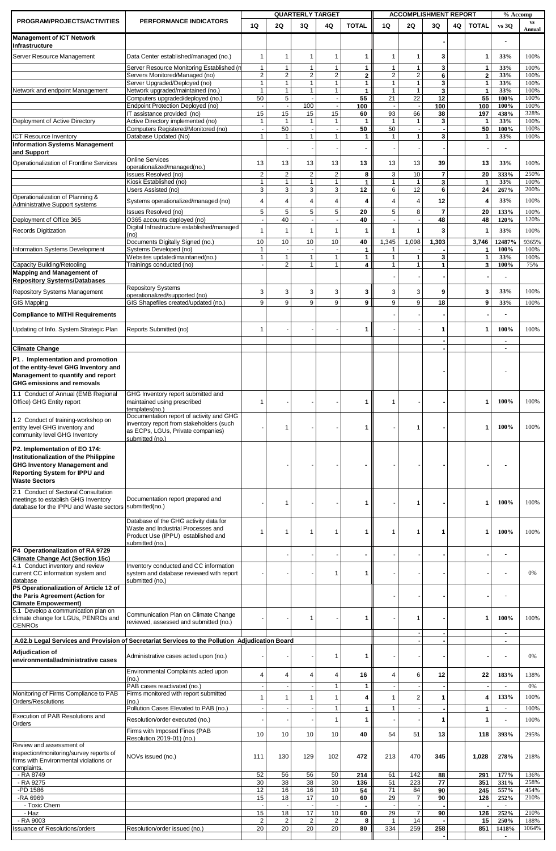| PROGRAM/PROJECTS/ACTIVITIES                                                                                                                     | <b>PERFORMANCE INDICATORS</b>                                                                                                               | 1Q                             | 2Q                             | <b>QUARTERLY TARGET</b><br>3Q  | 4Q                             | <b>TOTAL</b>       | 1Q                  | 2Q                           | <b>ACCOMPLISHMENT REPORT</b><br>3Q | 4Q | <b>TOTAL</b>                  | % Accomp<br>vs 30      | $\mathbf{v}\mathbf{s}$ |
|-------------------------------------------------------------------------------------------------------------------------------------------------|---------------------------------------------------------------------------------------------------------------------------------------------|--------------------------------|--------------------------------|--------------------------------|--------------------------------|--------------------|---------------------|------------------------------|------------------------------------|----|-------------------------------|------------------------|------------------------|
| <b>Management of ICT Network</b>                                                                                                                |                                                                                                                                             |                                |                                |                                |                                |                    |                     |                              |                                    |    |                               |                        | Annual                 |
| Infrastructure<br>Server Resource Management                                                                                                    | Data Center established/managed (no.)                                                                                                       | $\overline{1}$                 | $\overline{1}$                 | 1                              | $\mathbf 1$                    | 1                  | 1                   | 1                            | 3                                  |    | -1                            | 33%                    | 100%                   |
|                                                                                                                                                 | Server Resource Monitoring Established (r                                                                                                   | $\mathbf{1}$                   | $\mathbf{1}$                   | 1                              | 1                              | 1                  | 1                   | 1                            | 3                                  |    | $\mathbf{1}$                  | 33%                    | 100%                   |
|                                                                                                                                                 | Servers Monitored/Managed (no)<br>Server Upgraded/Deployed (no)                                                                             | $\overline{2}$<br>$\mathbf{1}$ | $\overline{c}$<br>$\mathbf{1}$ | $\overline{c}$<br>$\mathbf{1}$ | $\overline{c}$<br>$\mathbf{1}$ | $\mathbf{2}$<br>1  | $\overline{c}$<br>1 | $\overline{\mathbf{c}}$<br>1 | 6<br>3                             |    | $\overline{2}$<br>1           | 33%<br>33%             | 100%<br>100%           |
| <b>Network and endpoint Management</b>                                                                                                          | Network upgraded/maintained (no.)                                                                                                           | $\overline{1}$                 | $\overline{1}$                 | $\mathbf{1}$                   | $\overline{1}$                 | $\mathbf{1}$       | 1                   | $\mathbf{1}$                 | 3                                  |    | $\mathbf{1}$                  | 33%                    | 100%                   |
|                                                                                                                                                 | Computers upgraded/deployed (no.)<br><b>Endpoint Protection Deployed (no)</b>                                                               | 50                             | 5                              | 100                            |                                | 55<br>100          | 21                  | $\overline{22}$              | 12<br>100                          |    | 55<br>100                     | 100%<br>100%           | 100%<br>100%           |
| Deployment of Active Directory                                                                                                                  | IT assistance provided (no)<br>Active Directory implemented (no)                                                                            | 15<br>$\mathbf 1$              | 15<br>$\overline{1}$           | 15<br>$\mathbf{1}$             | 15<br>1                        | 60<br>1            | 93<br>$\mathbf{1}$  | 66<br>1                      | 38<br>3                            |    | 197<br>1                      | 438%<br>33%            | 328%<br>100%           |
| <b>ICT Resource Inventory</b>                                                                                                                   | Computers Registered/Monitored (no)<br>Database Updated (No)                                                                                | $\mathbf{1}$                   | 50<br>$\mathbf{1}$             | $\mathbf{1}$                   | $\mathbf{1}$                   | 50<br>$\mathbf{1}$ | 50<br>1             | $\mathbf{1}$                 | 3                                  |    | 50<br>$\mathbf{1}$            | 100%<br>33%            | 100%<br>100%           |
| <b>Information Systems Management</b><br>and Support                                                                                            |                                                                                                                                             |                                |                                |                                |                                |                    |                     |                              |                                    |    |                               |                        |                        |
| Operationalization of Frontline Services                                                                                                        | <b>Online Services</b>                                                                                                                      | 13                             | 13                             | 13                             | 13                             | 13                 | 13                  | 13                           | 39                                 |    | 13                            | 33%                    | 100%                   |
|                                                                                                                                                 | operationalized/managed(no.)<br>Issues Resolved (no)                                                                                        | $\overline{2}$                 | $\overline{c}$                 | $\overline{c}$                 | $\overline{c}$                 | 8                  | 3                   | 10                           | $\overline{\mathbf{r}}$            |    | 20                            | 333%                   | 250%                   |
|                                                                                                                                                 | Kiosk Established (no)<br>Users Assisted (no)                                                                                               | $\mathbf{1}$<br>3              | $\mathbf{1}$<br>3              | $\mathbf{1}$<br>3              | $\mathbf{1}$<br>3              | $\mathbf{1}$<br>12 | 1<br>6              | 1<br>12                      | 3<br>6                             |    | $\mathbf{1}$<br>24            | 33%<br>267%            | 100%<br>200%           |
| Operationalization of Planning &<br><b>Administrative Support systems</b>                                                                       | Systems operationalized/managed (no)                                                                                                        | 4                              | $\overline{4}$                 | $\overline{4}$                 | $\overline{4}$                 | 4                  | $\overline{4}$      | 4                            | 12                                 |    | 4                             | 33%                    | 100%                   |
|                                                                                                                                                 | Issues Resolved (no)                                                                                                                        | 5                              | 5                              | 5                              | 5                              | 20                 | 5                   | 8                            | $\overline{7}$                     |    | 20                            | 133%                   | 100%                   |
| Deployment of Office 365<br><b>Records Digitization</b>                                                                                         | O365 accounts deployed (no)<br>Digital Infrastructure established/managed                                                                   | $\mathbf 1$                    | 40<br>$\overline{1}$           | $\overline{1}$                 | $\mathbf 1$                    | 40<br>1            | 1                   | 1                            | 48<br>3                            |    | 48<br>$\mathbf{1}$            | 120%<br>33%            | 120%<br>100%           |
|                                                                                                                                                 | (no)<br>Documents Digitally Signed (no.)                                                                                                    | 10                             | 10                             | 10                             | 10                             | 40                 | 1,345               | 1,098                        | 1,303                              |    | 3,746                         | 12487%                 | 9365%                  |
| Information Systems Development                                                                                                                 | Systems Developed (no)<br>Websites updated/maintaned(no.)                                                                                   | $\mathbf{1}$                   | $\overline{1}$                 | $\mathbf{1}$                   | $\overline{1}$                 | 1<br>1             | 1<br>$\overline{1}$ |                              | 3                                  |    | $\mathbf 1$<br>$\overline{1}$ | 100%<br>33%            | 100%<br>100%           |
| Capacity Building/Retooling                                                                                                                     | Trainings conducted (no)                                                                                                                    |                                | $\overline{2}$                 | $\mathbf{1}$                   | $\overline{1}$                 | 4                  |                     | 1                            | 1                                  |    | 3                             | 100%                   | 75%                    |
| <b>Mapping and Management of</b><br><b>Repository Systems/Databases</b>                                                                         |                                                                                                                                             |                                |                                |                                |                                |                    |                     |                              |                                    |    |                               |                        |                        |
| <b>Repository Systems Management</b>                                                                                                            | <b>Repository Systems</b><br>operationalized/supported (no)                                                                                 | 3                              | 3                              | 3                              | 3                              | 3                  | 3                   | 3                            | 9                                  |    | 3                             | 33%                    | 100%                   |
| <b>GIS Mapping</b>                                                                                                                              | GIS Shapefiles created/updated (no.)                                                                                                        | 9                              | 9                              | 9                              | 9                              | 9                  | 9                   | 9                            | 18                                 |    | 9                             | 33%                    | 100%                   |
| <b>Compliance to MITHI Requirements</b>                                                                                                         |                                                                                                                                             |                                |                                |                                |                                |                    |                     |                              |                                    |    |                               |                        |                        |
| Jpdating of Info. System Strategic Plan                                                                                                         | Reports Submitted (no)                                                                                                                      | -1                             |                                |                                |                                | 1                  |                     |                              | 1                                  |    | 1                             | 100%                   | 100%                   |
| <b>Climate Change</b>                                                                                                                           |                                                                                                                                             |                                |                                |                                |                                |                    |                     |                              |                                    |    |                               |                        |                        |
| P1. Implementation and promotion<br>of the entity-level GHG Inventory and<br>Management to quantify and report                                  |                                                                                                                                             |                                |                                |                                |                                |                    |                     |                              |                                    |    |                               |                        |                        |
| <b>GHG emissions and removals</b><br>1.1 Conduct of Annual (EMB Regional<br>Office) GHG Entity report                                           | GHG Inventory report submitted and<br>maintained using prescribed                                                                           | $\mathbf 1$                    |                                |                                |                                | 1                  | 1                   |                              |                                    |    | -1                            | 100%                   | 100%                   |
| 1.2 Conduct of training-workshop on<br>entity level GHG inventory and                                                                           | templates(no.)<br>Documentation report of activity and GHG<br>inventory report from stakeholders (such<br>as ECPs, LGUs, Private companies) |                                |                                |                                |                                |                    |                     |                              |                                    |    | 1                             | 100%                   | 100%                   |
| community level GHG Inventory<br>P2. Implementation of EO 174:<br>Institutionalization of the Philippine<br><b>GHG Inventory Management and</b> | submitted (no.)                                                                                                                             |                                |                                |                                |                                |                    |                     |                              |                                    |    |                               |                        |                        |
| Reporting System for IPPU and<br><b>Waste Sectors</b><br>2.1 Conduct of Sectoral Consultation                                                   |                                                                                                                                             |                                |                                |                                |                                |                    |                     |                              |                                    |    |                               |                        |                        |
| meetings to establish GHG Inventory<br>database for the IPPU and Waste sectors submitted(no.)                                                   | Documentation report prepared and<br>Database of the GHG activity data for                                                                  |                                | $\mathbf{1}$                   |                                |                                | 1                  |                     | 1                            |                                    |    | $\mathbf 1$                   | 100%                   | 100%                   |
|                                                                                                                                                 | Waste and Industrial Processes and<br>Product Use (IPPU) established and<br>submitted (no.)                                                 | $\overline{1}$                 | $\overline{1}$                 | 1                              | $\mathbf 1$                    | 1                  | 1                   | 1                            | 1                                  |    | 1                             | 100%                   | 100%                   |
| P4 Operationalization of RA 9729<br><b>Climate Change Act (Section 15c)</b>                                                                     |                                                                                                                                             |                                |                                |                                |                                |                    |                     |                              |                                    |    |                               |                        |                        |
| 4.1 Conduct inventory and review<br>current CC information system and                                                                           | Inventory conducted and CC information<br>system and database reviewed with report                                                          |                                |                                |                                | $\mathbf{1}$                   | 1                  |                     |                              |                                    |    |                               |                        | 0%                     |
| database<br>P5 Operationalization of Article 12 of<br>the Paris Agreement (Action for<br><b>Climate Empowerment)</b>                            | submitted (no.)                                                                                                                             |                                |                                |                                |                                |                    |                     |                              |                                    |    |                               |                        |                        |
| 5.1 Develop a communication plan on<br>climate change for LGUs, PENROs and<br><b>CENROS</b>                                                     | Communication Plan on Climate Change<br>reviewed, assessed and submitted (no.)                                                              |                                |                                | 1                              |                                | 1                  |                     | 1                            |                                    |    | $\overline{1}$                | 100%                   | 100%                   |
|                                                                                                                                                 | A.02.b Legal Services and Provision of Secretariat Services to the Pollution Adjudication Board                                             |                                |                                |                                |                                |                    |                     |                              |                                    |    |                               | $\blacksquare$         |                        |
| <b>Adjudication of</b><br>environmental/administrative cases                                                                                    | Administrative cases acted upon (no.)                                                                                                       |                                |                                |                                | $\mathbf 1$                    | 1                  |                     |                              |                                    |    |                               |                        | 0%                     |
|                                                                                                                                                 | Environmental Complaints acted upon<br>(no.)                                                                                                | $\overline{4}$                 | $\overline{4}$                 | $\overline{4}$                 | $\overline{4}$                 | 16                 | 4                   | 6                            | 12                                 |    | 22                            | 183%                   | 138%                   |
| Monitoring of Firms Compliance to PAB                                                                                                           | PAB cases reactivated (no.)<br>Firms monitored with report submitted                                                                        |                                |                                |                                | $\mathbf{1}$                   | $\mathbf{1}$       |                     |                              |                                    |    |                               | $\blacksquare$         | 0%                     |
| Orders/Resolutions                                                                                                                              | (no.)<br>Pollution Cases Elevated to PAB (no.)                                                                                              |                                | $\overline{1}$                 | $\mathbf 1$                    | $\mathbf{1}$<br>$\mathbf{1}$   | 4<br>$\mathbf{1}$  | 1<br>1              | $\overline{2}$               | 1                                  |    | 4<br>$\mathbf{1}$             | 133%<br>$\blacksquare$ | 100%<br>100%           |
| Execution of PAB Resolutions and                                                                                                                | Resolution/order executed (no.)                                                                                                             |                                |                                |                                | $\mathbf{1}$                   | 1                  |                     |                              | 1                                  |    | $\mathbf{1}$                  |                        | 100%                   |
| Orders                                                                                                                                          | Firms with Imposed Fines (PAB                                                                                                               | 10                             | 10                             | 10                             | 10                             | 40                 | 54                  | 51                           | 13                                 |    | 118                           | 393%                   | 295%                   |
| Review and assessment of<br>inspection/monitoring/survey reports of<br>firms with Environmental violations or<br>complaints.                    | Resolution 2019-01) (no.)<br>NOVs issued (no.)                                                                                              | 111                            | 130                            | 129                            | 102                            | 472                | 213                 | 470                          | 345                                |    | 1,028                         | 278%                   | 218%                   |
| - RA 8749<br>- RA 9275                                                                                                                          |                                                                                                                                             | 52<br>30                       | 56<br>38                       | 56<br>38                       | 50<br>30                       | 214<br>136         | 61<br>51            | 142<br>223                   | 88<br>77                           |    | 291<br>351                    | 177%<br>331%           | 136%<br>258%           |
| -PD 1586                                                                                                                                        |                                                                                                                                             | 12                             | 16                             | 16                             | 10                             | 54                 | 71                  | 84                           | 90                                 |    | 245                           | 557%                   | 454%                   |
| -RA 6969<br>- Toxic Chem                                                                                                                        |                                                                                                                                             | 15                             | 18                             | 17                             | 10                             | 60                 | 29                  | 7                            | 90                                 |    | 126                           | 252%<br>$\blacksquare$ | 210%                   |
| - Haz<br>- RA 9003                                                                                                                              |                                                                                                                                             | 15<br>$\overline{2}$           | 18<br>$\overline{2}$           | 17<br>$\overline{2}$           | 10<br>$\overline{2}$           | 60<br>8            | 29<br>$\mathbf{1}$  | 7<br>14                      | 90                                 |    | 126<br>15                     | 252%<br>250%           | 210%<br>188%           |
| ssuance of Resolutions/orders                                                                                                                   | Resolution/order issued (no.)                                                                                                               | 20                             | 20                             | $\overline{20}$                | 20                             | 80                 | 334                 | 259                          | $\frac{258}{1}$                    |    | 851                           | 1418%                  | 1064%                  |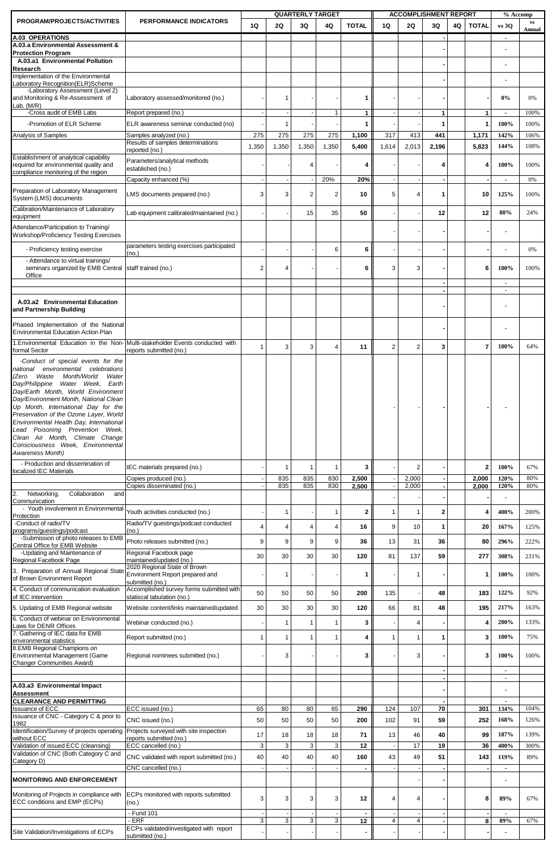| PROGRAM/PROJECTS/ACTIVITIES                                                                         | <b>PERFORMANCE INDICATORS</b>                                   | 1Q             | 2Q             | <b>QUARTERLY TARGET</b><br>3Q | 4Q             | <b>TOTAL</b>   | 1Q             | 2Q             | <b>ACCOMPLISHMENT REPORT</b><br>3Q | 4Q | <b>TOTAL</b>   | % Accomp<br>vs 30                | <b>VS</b><br>Annual |
|-----------------------------------------------------------------------------------------------------|-----------------------------------------------------------------|----------------|----------------|-------------------------------|----------------|----------------|----------------|----------------|------------------------------------|----|----------------|----------------------------------|---------------------|
| A.03 OPERATIONS                                                                                     |                                                                 |                |                |                               |                |                |                |                |                                    |    |                | $\blacksquare$                   |                     |
| A.03.a Environmental Assessment &<br><b>Protection Program</b>                                      |                                                                 |                |                |                               |                |                |                |                |                                    |    |                |                                  |                     |
| A.03.a1 Environmental Pollution<br>Research                                                         |                                                                 |                |                |                               |                |                |                |                |                                    |    |                |                                  |                     |
| Implementation of the Environmental<br>Laboratory Recognition(ELR)Scheme                            |                                                                 |                |                |                               |                |                |                |                |                                    |    |                |                                  |                     |
| -Laboratory Assessment (Level 2)                                                                    |                                                                 |                |                |                               |                |                |                |                |                                    |    |                |                                  |                     |
| and Monitoring & Re-Assessment of<br>Lab. $(M/R)$                                                   | Laboratory assessed/monitored (no.)                             |                | 1              |                               |                | 1              |                |                |                                    |    |                | 0%                               | 0%                  |
| -Cross audit of EMB Labs                                                                            | Report prepared (no.)                                           |                |                |                               | $\mathbf 1$    | 1              |                |                | 1                                  |    | 1              | $\blacksquare$                   | 100%                |
| -Promotion of ELR Scheme<br>Analysis of Samples                                                     | ELR awareness seminar conducted (no)<br>Samples analyzed (no.)  | 275            | 1<br>275       | 275                           | 275            | 1<br>1,100     | 317            | 413            | 1<br>441                           |    | 1<br>1,171     | 100%<br>142%                     | 100%<br>106%        |
|                                                                                                     | Results of samples determinations                               | 1,350          | 1,350          | 1,350                         | 1,350          | 5,400          | 1,614          | 2,013          | 2,196                              |    | 5,823          | 144%                             | 108%                |
| Establishment of analytical capability                                                              | reported (no.)<br>Parameters/analytical methods                 |                |                |                               |                |                |                |                |                                    |    |                |                                  |                     |
| required for environmental quality and<br>compliance monitoring of the region                       | established (no.)                                               |                |                | 4                             |                | 4              |                |                | 4                                  |    | 4              | 100%                             | 100%                |
|                                                                                                     | Capacity enhanced (%)                                           |                |                |                               | 20%            | 20%            |                |                | $\blacksquare$                     |    |                | $\blacksquare$                   | 0%                  |
| Preparation of Laboratory Management<br>System (LMS) documents                                      | LMS documents prepared (no.)                                    | 3              | 3              | $\overline{c}$                | $\overline{2}$ | 10             | 5              | 4              | 1                                  |    | 10             | 125%                             | 100%                |
| Calibration/Maintenance of Laboratory                                                               | Lab equipment calibrated/maintained (no.)                       |                |                | 15                            | 35             | 50             |                |                | 12                                 |    | 12             | 80%                              | 24%                 |
| equipment<br>Attendance/Participation to Training/                                                  |                                                                 |                |                |                               |                |                |                |                |                                    |    |                |                                  |                     |
| Workshop/Proficiency Testing Exercises                                                              |                                                                 |                |                |                               |                |                |                |                |                                    |    |                |                                  |                     |
| - Proficiency testing exercise                                                                      | parameters testing exercises participated<br>(no.)              |                |                |                               | 6              | 6              |                |                |                                    |    |                |                                  | 0%                  |
| - Attendance to virtual trainings/<br>seminars organized by EMB Central staff trained (no.)         |                                                                 | $\overline{2}$ | 4              |                               |                | 6              | 3              | 3              |                                    |    | 6              | 100%                             | 100%                |
| Office                                                                                              |                                                                 |                |                |                               |                |                |                |                |                                    |    |                |                                  |                     |
|                                                                                                     |                                                                 |                |                |                               |                |                |                |                |                                    |    |                | $\blacksquare$<br>$\blacksquare$ |                     |
| A.03.a2 Environmental Education                                                                     |                                                                 |                |                |                               |                |                |                |                |                                    |    |                |                                  |                     |
| and Partnership Building                                                                            |                                                                 |                |                |                               |                |                |                |                |                                    |    |                |                                  |                     |
| Phased Implementation of the National<br><b>Environmental Education Action Plan</b>                 |                                                                 |                |                |                               |                |                |                |                |                                    |    |                |                                  |                     |
| 1. Environmental Education in the Non- Multi-stakeholder Events conducted with                      |                                                                 |                |                |                               |                |                |                |                |                                    |    |                |                                  |                     |
| formal Sector                                                                                       | reports submitted (no.)                                         | $\mathbf{1}$   | 3              | 3                             | $\overline{4}$ | 11             | $\overline{2}$ | $\overline{2}$ | 3                                  |    | $\overline{7}$ | 100%                             | 64%                 |
| -Conduct of special events for the<br>national environmental celebrations                           |                                                                 |                |                |                               |                |                |                |                |                                    |    |                |                                  |                     |
| (Zero<br>Waste<br>Month/World<br>Water<br>Day/Philippine<br>Water Week, Earth                       |                                                                 |                |                |                               |                |                |                |                |                                    |    |                |                                  |                     |
| Day/Earth Month, World Environment                                                                  |                                                                 |                |                |                               |                |                |                |                |                                    |    |                |                                  |                     |
| Day/Environment Month, National Clean<br>Up Month, International Day for the                        |                                                                 |                |                |                               |                |                |                |                |                                    |    |                |                                  |                     |
| Preservation of the Ozone Layer, World                                                              |                                                                 |                |                |                               |                |                |                |                |                                    |    |                |                                  |                     |
| Environmental Health Day, International<br>Lead Poisoning Prevention Week,                          |                                                                 |                |                |                               |                |                |                |                |                                    |    |                |                                  |                     |
| Clean Air Month, Climate Change<br>Consciousness Week, Environmental                                |                                                                 |                |                |                               |                |                |                |                |                                    |    |                |                                  |                     |
| Awareness Month)                                                                                    |                                                                 |                |                |                               |                |                |                |                |                                    |    |                |                                  |                     |
| - Production and dissemination of<br>localized IEC Materials                                        | IEC materials prepared (no.)                                    |                | 1              | $\mathbf{1}$                  | $\mathbf{1}$   | 3              |                | $\overline{2}$ |                                    |    | $\mathbf{2}$   | 100%                             | 67%                 |
|                                                                                                     | Copies produced (no.)<br>Copies disseminated (no.)              |                | 835<br>835     | 835<br>835                    | 830<br>830     | 2,500<br>2,500 |                | 2,000<br>2,000 |                                    |    | 2,000<br>2,000 | 120%<br>120%                     | 80%<br>80%          |
| 2.<br>Networking,<br>Collaboration<br>and                                                           |                                                                 |                |                |                               |                |                |                |                |                                    |    |                |                                  |                     |
| Communication<br>- Youth involvement in Environmental                                               | Youth activities conducted (no.)                                |                | 1              |                               | 1              | 2              | 1              | 1              | 2                                  |    | 4              | 400%                             | 200%                |
| Protection<br>-Conduct of radio/TV                                                                  | Radio/TV guestings/podcast conducted                            | $\overline{4}$ | $\overline{4}$ | 4                             | $\overline{4}$ | 16             | 9              | 10             | 1                                  |    | 20             | 167%                             | 125%                |
| programs/guestings/podcast<br>-Submission of photo releases to EMB                                  | (no.)                                                           |                |                |                               |                |                |                |                |                                    |    |                |                                  |                     |
| Central Office for EMB Website<br>-Updating and Maintenance of                                      | Photo releases submitted (no.)<br>Regional Facebook page        | 9              | 9              | 9                             | 9              | 36             | 13             | 31             | 36                                 |    | 80             | 296%                             | 222%                |
| Regional Facebook Page                                                                              | maintained/updated (no.)                                        | 30             | 30             | 30                            | 30             | 120            | 81             | 137            | 59                                 |    | 277            | 308%                             | 231%                |
| 3. Preparation of Annual Regional State<br>of Brown Environment Report                              | 2020 Regional State of Brown<br>Environment Report prepared and |                | 1              |                               |                | 1              |                | 1              |                                    |    | 1              | 100%                             | 100%                |
| 4. Conduct of communication evaluation                                                              | submitted (no.)<br>Accomplished survey forms submitted with     |                |                |                               |                |                |                |                |                                    |    |                |                                  |                     |
| of IEC intervention                                                                                 | statiscal tabulation (no.)                                      | 50             | 50             | 50                            | 50             | 200            | 135            |                | 48                                 |    | 183            | 122%                             | 92%                 |
| 5. Updating of EMB Regional website                                                                 | Website content/links maintained/updated                        | 30             | 30             | 30                            | 30             | 120            | 66             | 81             | 48                                 |    | 195            | 217%                             | 163%                |
| 6. Conduct of webinar on Environmental<br>Laws for DENR Offices<br>7. Gathering of IEC data for EMB | Webinar conducted (no.)                                         |                | $\mathbf{1}$   | 1                             | $\mathbf{1}$   | 3              |                | 4              |                                    |    | $\overline{4}$ | 200%                             | 133%                |
|                                                                                                     | Report submitted (no.)                                          | 1              | 1              | 1                             | $\mathbf{1}$   | 4              | 1              | $\mathbf{1}$   | 1                                  |    | 3              | 100%                             | 75%                 |
| environmental statistics<br>8.EMB Regional Champions on<br>Environmental Management (Game           | Regional nominees submitted (no.)                               |                | 3              |                               |                | 3              |                | 3              |                                    |    | 3              | 100%                             | 100%                |
| <b>Changer Communities Award)</b>                                                                   |                                                                 |                |                |                               |                |                |                |                |                                    |    |                |                                  |                     |
|                                                                                                     |                                                                 |                |                |                               |                |                |                |                |                                    |    |                | $\blacksquare$<br>$\blacksquare$ |                     |
| A.03.a3 Environmental Impact<br><b>Assessment</b>                                                   |                                                                 |                |                |                               |                |                |                |                |                                    |    |                |                                  |                     |
| <b>CLEARANCE AND PERMITTING</b><br><b>Issuance of ECC</b>                                           |                                                                 |                |                |                               |                |                |                |                |                                    |    |                |                                  |                     |
| Issuance of CNC - Category C & prior to                                                             | ECC issued (no.)<br>CNC issued (no.)                            | 65<br>50       | 80<br>50       | 80<br>50                      | 65<br>50       | 290<br>200     | 124<br>102     | 107<br>91      | 70<br>59                           |    | 301<br>252     | 134%<br>168%                     | 104%<br>126%        |
| 1982<br>Identification/Survey of projects operating                                                 | Projects surveyed with site inspection                          |                |                |                               |                |                |                |                |                                    |    |                | 187%                             | 139%                |
| without ECC<br>Validation of issued ECC (cleansing)                                                 | reports submitted (no.)<br>ECC cancelled (no.)                  | 17<br>3        | 18<br>3        | 18<br>3                       | 18<br>3        | 71<br>12       | 13             | 46<br>17       | 40<br>19                           |    | 99<br>36       | 400%                             | 300%                |
| Validation of CNC (Both Category C and                                                              | CNC validated with report submitted (no.)                       | 40             | 40             | 40                            | 40             | 160            | 43             | 49             | 51                                 |    | 143            | 119%                             | 89%                 |
| Category D)                                                                                         | CNC cancelled (no.)                                             |                |                |                               |                |                |                |                |                                    |    |                | $\blacksquare$                   |                     |
| <b>MONITORING AND ENFORCEMENT</b>                                                                   |                                                                 |                |                |                               |                |                |                |                |                                    |    |                |                                  |                     |
| Monitoring of Projects in compliance with                                                           | ECPs monitored with reports submitted                           | 3              | 3              | 3                             | 3              | 12             | 4              | 4              |                                    |    | 8              | 89%                              | 67%                 |
| ECC conditions and EMP (ECPs)                                                                       | (no.)                                                           |                |                |                               |                |                |                |                |                                    |    |                |                                  |                     |
|                                                                                                     | Fund 101<br>· ERF                                               | 3              | 3              | 3                             | 3              | 12             | 4              | 4              |                                    |    | 8              | 89%                              | 67%                 |
| Site Validation/Investigations of ECPs                                                              | ECPs validated/investigated with report<br>submitted (no.)      |                |                |                               |                | - 11           |                |                |                                    |    |                | $\blacksquare$                   |                     |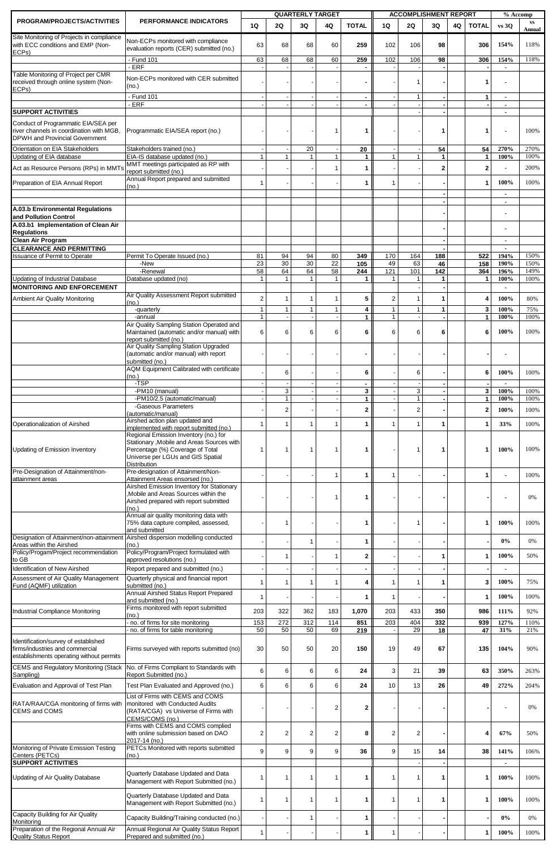| PROGRAM/PROJECTS/ACTIVITIES                                                     | PERFORMANCE INDICATORS                                                                 |                |                  | <b>QUARTERLY TARGET</b> |                |                |                | <b>ACCOMPLISHMENT REPORT</b> |                    |    |                | % Accomp               | $\mathbf{v}\mathbf{s}$ |
|---------------------------------------------------------------------------------|----------------------------------------------------------------------------------------|----------------|------------------|-------------------------|----------------|----------------|----------------|------------------------------|--------------------|----|----------------|------------------------|------------------------|
|                                                                                 |                                                                                        | 1Q             | 2Q               | 3Q                      | 4Q             | <b>TOTAL</b>   | 1Q             | 2Q                           | 3Q                 | 4Q | <b>TOTAL</b>   | vs 30                  | Annual                 |
| Site Monitoring of Projects in compliance<br>with ECC conditions and EMP (Non-  | Non-ECPs monitored with compliance<br>evaluation reports (CER) submitted (no.)         | 63             | 68               | 68                      | 60             | 259            | 102            | 106                          | 98                 |    | 306            | 154%                   | 118%                   |
| ECPs)                                                                           | - Fund 101                                                                             | 63             | 68               | 68                      | 60             | 259            | 102            | 106                          | 98                 |    | 306            | 154%                   | 118%                   |
|                                                                                 | - ERF                                                                                  |                |                  |                         |                |                |                |                              |                    |    |                |                        |                        |
| Table Monitoring of Project per CMR<br>received through online system (Non-     | Non-ECPs monitored with CER submitted                                                  |                |                  |                         |                |                |                | 1                            |                    |    | 1              |                        |                        |
| ECP <sub>s</sub> )                                                              | (no.)<br>- Fund 101                                                                    |                |                  |                         |                | $\blacksquare$ |                | 1                            |                    |    | $\mathbf{1}$   | $\blacksquare$         |                        |
|                                                                                 | - ERF                                                                                  |                |                  |                         |                |                |                |                              |                    |    |                | $\blacksquare$         |                        |
| <b>SUPPORT ACTIVITIES</b>                                                       |                                                                                        |                |                  |                         |                |                |                |                              |                    |    |                |                        |                        |
| Conduct of Programmatic EIA/SEA per<br>river channels in coordination with MGB. | Programmatic EIA/SEA report (no.)                                                      |                |                  |                         | $\mathbf 1$    | 1              |                |                              | 1                  |    | $\mathbf 1$    |                        | 100%                   |
| DPWH and Provincial Government                                                  |                                                                                        |                |                  |                         |                |                |                |                              |                    |    |                |                        |                        |
| Orientation on EIA Stakeholders<br>Updating of EIA database                     | Stakeholders trained (no.)<br>EIA-IS database updated (no.)                            | $\mathbf{1}$   | $\mathbf{1}$     | 20<br>$\mathbf{1}$      | $\mathbf{1}$   | 20<br>1        | 1              | $\mathbf{1}$                 | 54<br>$\mathbf{1}$ |    | 54<br>1        | 270%<br>100%           | 270%<br>100%           |
| Act as Resource Persons (RPs) in MMT                                            | MMT meetings participated as RP with                                                   |                |                  |                         | $\mathbf{1}$   | 1              |                |                              | $\overline{2}$     |    | $\overline{2}$ |                        | 200%                   |
|                                                                                 | report submitted (no.)<br>Annual Report prepared and submitted                         |                |                  |                         |                |                |                |                              |                    |    |                |                        |                        |
| Preparation of EIA Annual Report                                                | (no.)                                                                                  | $\overline{1}$ |                  |                         |                | 1              | $\mathbf{1}$   |                              |                    |    | 1              | 100%                   | 100%                   |
|                                                                                 |                                                                                        |                |                  |                         |                |                |                |                              |                    |    |                | $\blacksquare$         |                        |
| A.03.b Environmental Regulations<br>and Pollution Control                       |                                                                                        |                |                  |                         |                |                |                |                              |                    |    |                |                        |                        |
| A.03.b1 Implementation of Clean Air                                             |                                                                                        |                |                  |                         |                |                |                |                              |                    |    |                |                        |                        |
| <b>Regulations</b><br>Clean Air Program                                         |                                                                                        |                |                  |                         |                |                |                |                              |                    |    |                |                        |                        |
| <b>CLEARANCE AND PERMITTING</b>                                                 |                                                                                        |                |                  |                         |                |                |                |                              |                    |    |                |                        |                        |
| <b>Issuance of Permit to Operate</b>                                            | Permit To Operate Issued (no.)<br>-New                                                 | 81<br>23       | 94<br>30         | 94<br>30                | 80<br>22       | 349<br>105     | 170<br>49      | 164<br>63                    | 188<br>46          |    | 522<br>158     | 194%<br>190%           | 150%<br>150%           |
|                                                                                 | -Renewal                                                                               | 58             | 64               | 64                      | 58             | 244            | 121            | 101                          | 142                |    | 364            | 196%                   | 149%                   |
| Updating of Industrial Database<br><b>MONITORING AND ENFORCEMENT</b>            | Database updated (no)                                                                  | $\mathbf{1}$   | $\overline{1}$   | $\overline{1}$          | $\mathbf{1}$   |                |                | $\mathbf{1}$                 | 1                  |    | 1              | 100%<br>$\blacksquare$ | 100%                   |
| Ambient Air Quality Monitoring                                                  | Air Quality Assessment Report submitted                                                | $\overline{2}$ | $\mathbf{1}$     | $\mathbf{1}$            | $\mathbf{1}$   | 5              | $\overline{2}$ | 1                            | 1                  |    | 4              | 100%                   | 80%                    |
|                                                                                 | (no.)<br>-quarterly                                                                    | $\mathbf{1}$   | 1                | $\mathbf{1}$            | $\mathbf{1}$   | 4              | 1              | 1                            | 1                  |    | 3              | 100%                   | 75%                    |
|                                                                                 | -annual                                                                                | $\mathbf{1}$   |                  |                         |                | $\mathbf{1}$   | 1              |                              |                    |    | $\mathbf{1}$   | 100%                   | 100%                   |
|                                                                                 | Air Quality Sampling Station Operated and<br>Maintained (automatic and/or manual) with | 6              | 6                | 6                       | 6              | 6              | 6              | 6                            | 6                  |    | 6              | 100%                   | 100%                   |
|                                                                                 | report submitted (no.)<br>Air Quality Sampling Station Upgraded                        |                |                  |                         |                |                |                |                              |                    |    |                |                        |                        |
|                                                                                 | (automatic and/or manual) with report                                                  |                |                  |                         |                |                |                |                              |                    |    |                |                        |                        |
|                                                                                 | submitted (no.)<br>AQM Equipment Calibrated with certificate                           |                |                  |                         |                |                |                |                              |                    |    |                |                        |                        |
|                                                                                 | (no.)                                                                                  |                | 6                |                         |                | 6              |                | 6                            |                    |    | 6              | 100%                   | 100%                   |
|                                                                                 | -TSP<br>-PM10 (manual)                                                                 |                | 3                |                         |                | 3              |                | 3                            |                    |    | 3              | $\blacksquare$<br>100% | 100%                   |
|                                                                                 | -PM10/2.5 (automatic/manual)                                                           |                | $\mathbf{1}$     |                         |                | $\mathbf{1}$   |                | $\mathbf{1}$                 |                    |    | $\mathbf{1}$   | 100%                   | 100%                   |
|                                                                                 | -Gaseous Parameters<br>(automatic/manual)                                              |                | $\overline{c}$   |                         |                | $\mathbf{2}$   |                | $\overline{c}$               |                    |    | $\overline{2}$ | 100%                   | 100%                   |
| Operationalization of Airshed                                                   | Airshed action plan updated and<br>implemented with report submitted (no.)             | 1              | 1                | 1                       | 1              | 1 I            | 1              | 1                            | 1                  |    | 1              | 33%                    | 100%                   |
|                                                                                 | Regional Emission Inventory (no.) for                                                  |                |                  |                         |                |                |                |                              |                    |    |                |                        |                        |
| Updating of Emission Inventory                                                  | Stationary , Mobile and Areas Sources with<br>Percentage (%) Coverage of Total         | -1             | -1               | -1                      | -1             | 1              |                | -1                           | 1                  |    | $\mathbf 1$    | 100%                   | 100%                   |
|                                                                                 | Universe per LGUs and GIS Spatial                                                      |                |                  |                         |                |                |                |                              |                    |    |                |                        |                        |
| Pre-Designation of Attainment/non-                                              | <b>Distribution</b><br>Pre-designation of Attainment/Non-                              |                |                  |                         | $\mathbf{1}$   | 1              | $\mathbf{1}$   |                              |                    |    | $\mathbf{1}$   |                        | 100%                   |
| attainment areas                                                                | Attainment Areas ensorsed (no.)<br>Airshed Emission Inventory for Stationary           |                |                  |                         |                |                |                |                              |                    |    |                |                        |                        |
|                                                                                 | Mobile and Areas Sources within the                                                    |                |                  |                         | $\mathbf 1$    | 1              |                |                              |                    |    |                |                        | 0%                     |
|                                                                                 | Airshed prepared with report submitted<br>(no.)                                        |                |                  |                         |                |                |                |                              |                    |    |                |                        |                        |
|                                                                                 | Annual air quality monitoring data with                                                |                |                  |                         |                |                |                |                              |                    |    |                | 100%                   | 100%                   |
|                                                                                 | 75% data capture compiled, assessed,<br>and submitted                                  |                | 1                |                         |                | 1              |                | 1                            |                    |    | $\mathbf 1$    |                        |                        |
| Designation of Attainment/non-attainment<br>Areas within the Airshed            | Airshed dispersion modelling conducted<br>(no.)                                        |                |                  | $\mathbf 1$             |                | 1              |                |                              |                    |    |                | 0%                     | 0%                     |
| Policy/Progam/Project recommendation                                            | Policy/Program/Project formulated with                                                 |                | $\mathbf 1$      |                         | $\mathbf{1}$   | $\mathbf{2}$   |                |                              | 1                  |    | $\mathbf 1$    | 100%                   | 50%                    |
| to GB<br><b>Identification of New Airshed</b>                                   | approved resolutions (no.)<br>Report prepared and submitted (no.)                      |                |                  |                         |                |                |                |                              |                    |    |                |                        |                        |
| Assessment of Air Quality Management                                            | Quarterly physical and financial report                                                |                |                  |                         |                |                |                |                              |                    |    |                |                        |                        |
| Fund (AQMF) utilization                                                         | submitted (no.)                                                                        | $\overline{1}$ | $\mathbf 1$      | $\mathbf{1}$            | $\mathbf{1}$   | 4              | 1              | 1                            | 1                  |    | 3              | 100%                   | 75%                    |
|                                                                                 | Annual Airshed Status Report Prepared<br>and submitted (no.)                           | $\mathbf{1}$   |                  |                         |                | 1              | 1              |                              |                    |    | $\mathbf{1}$   | 100%                   | 100%                   |
| <b>Industrial Compliance Monitoring</b>                                         | Firms monitored with report submitted<br>(no.)                                         | 203            | 322              | 362                     | 183            | 1,070          | 203            | 433                          | 350                |    | 986            | 111%                   | 92%                    |
|                                                                                 | no. of firms for site monitoring                                                       | 153            | 272              | 312                     | 114            | 851            | 203            | 404                          | 332                |    | 939            | 127%                   | 110%                   |
|                                                                                 | no. of firms for table monitoring                                                      | 50             | 50               | 50                      | 69             | 219            |                | 29                           | 18                 |    | 47             | 31%                    | 21%                    |
| Identification/survey of established<br>firms/industries and commercial         | Firms surveyed with reports submitted (no)                                             | 30             | 50               | 50                      | 20             | 150            | 19             | 49                           | 67                 |    | 135            | 104%                   | 90%                    |
| establishments operating without permits                                        |                                                                                        |                |                  |                         |                |                |                |                              |                    |    |                |                        |                        |
| <b>CEMS and Regulatory Monitoring (Stack</b><br>Sampling)                       | No. of Firms Compliant to Standards with<br>Report Submitted (no.)                     | 6              | 6                | 6                       | 6              | 24             | 3              | 21                           | 39                 |    | 63             | 350%                   | 263%                   |
| Evaluation and Approval of Test Plan                                            | Test Plan Evaluated and Approved (no.)                                                 | 6              | 6                | 6                       | 6              | 24             | 10             | 13                           | 26                 |    | 49             | 272%                   | 204%                   |
|                                                                                 | List of Firms with CEMS and COMS                                                       |                |                  |                         |                |                |                |                              |                    |    |                |                        |                        |
| RATA/RAA/CGA monitoring of firms with<br><b>CEMS and COMS</b>                   | monitored with Conducted Audits<br>(RATA/CGA) vs Universe of Firms with                |                |                  |                         | 2              | $\mathbf{2}$   |                |                              |                    |    |                |                        | 0%                     |
|                                                                                 | CEMS/COMS (no.)                                                                        |                |                  |                         |                |                |                |                              |                    |    |                |                        |                        |
|                                                                                 | Firms with CEMS and COMS complied<br>with online submission based on DAO               | $\overline{2}$ | $\boldsymbol{2}$ | $\overline{\mathbf{c}}$ | $\overline{2}$ | 8              | $\overline{2}$ | $\overline{\mathbf{c}}$      |                    |    | 4              | 67%                    | 50%                    |
|                                                                                 | 2017-14 (no.)                                                                          |                |                  |                         |                |                |                |                              |                    |    |                |                        |                        |
| Monitoring of Private Emission Testing<br>Centers (PETCs)                       | PETCs Monitored with reports submitted<br>(no.)                                        | 9              | 9                | 9                       | 9              | 36             | 9              | 15                           | 14                 |    | 38             | 141%                   | 106%                   |
| <b>SUPPORT ACTIVITIES</b>                                                       |                                                                                        |                |                  |                         |                |                |                |                              |                    |    |                | $\blacksquare$         |                        |
| Updating of Air Quality Database                                                | Quarterly Database Updated and Data<br>Management with Report Submitted (no.)          | $\overline{1}$ | $\mathbf{1}$     | $\mathbf 1$             | $\mathbf 1$    | 1              | 1              | 1                            | 1                  |    | 1              | 100%                   | 100%                   |
|                                                                                 |                                                                                        |                |                  |                         |                |                |                |                              |                    |    |                |                        |                        |
|                                                                                 | Quarterly Database Updated and Data<br>Management with Report Submitted (no.)          | $\mathbf{1}$   | $\mathbf 1$      | $\mathbf{1}$            | $\mathbf{1}$   | 1              | 1              | 1                            | 1                  |    | 1              | 100%                   | 100%                   |
| Capacity Building for Air Quality                                               | Capacity Building/Training conducted (no.)                                             |                |                  | $\mathbf 1$             |                | 1              |                |                              |                    |    |                | $0\%$                  | 0%                     |
| Monitoring<br>Preparation of the Regional Annual Air                            | Annual Regional Air Quality Status Report                                              |                |                  |                         |                |                |                |                              |                    |    |                |                        |                        |
| Quality Status Report                                                           | Prepared and submitted (no.)                                                           | $\mathbf{1}$   |                  |                         |                | 1              | $\mathbf{1}$   |                              |                    |    | 1 <sup>1</sup> | 100%                   | 100%                   |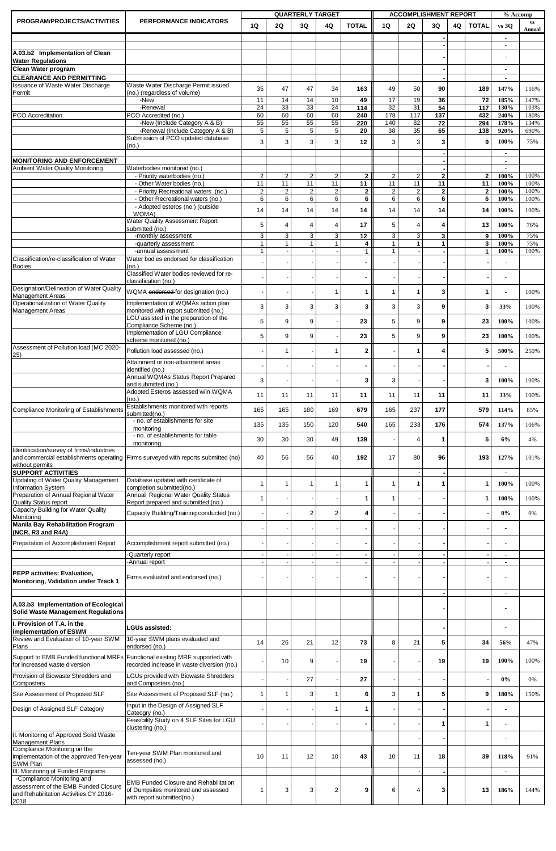| PROGRAM/PROJECTS/ACTIVITIES                                                                                   | PERFORMANCE INDICATORS                                                             |                      |                      | <b>QUARTERLY TARGET</b> |                         |                    |                      |                      | <b>ACCOMPLISHMENT REPORT</b>  |    |                    | % Accomp                         | $\mathbf{v}\mathbf{s}$ |
|---------------------------------------------------------------------------------------------------------------|------------------------------------------------------------------------------------|----------------------|----------------------|-------------------------|-------------------------|--------------------|----------------------|----------------------|-------------------------------|----|--------------------|----------------------------------|------------------------|
|                                                                                                               |                                                                                    | 1Q                   | 2Q                   | 3Q                      | 4Q                      | <b>TOTAL</b>       | 1Q                   | 2Q                   | 3Q                            | 4Q | <b>TOTAL</b>       | vs 30                            | Annual                 |
|                                                                                                               |                                                                                    |                      |                      |                         |                         |                    |                      |                      |                               |    |                    | $\blacksquare$                   |                        |
| A.03.b2 Implementation of Clean                                                                               |                                                                                    |                      |                      |                         |                         |                    |                      |                      |                               |    |                    |                                  |                        |
| <b>Water Regulations</b>                                                                                      |                                                                                    |                      |                      |                         |                         |                    |                      |                      |                               |    |                    |                                  |                        |
| Clean Water program<br><b>CLEARANCE AND PERMITTING</b>                                                        |                                                                                    |                      |                      |                         |                         |                    |                      |                      |                               |    |                    | $\blacksquare$<br>$\blacksquare$ |                        |
| Issuance of Waste Water Discharge                                                                             | Waste Water Discharge Permit issued                                                | 35                   | 47                   | 47                      | 34                      | 163                | 49                   | 50                   | 90                            |    | 189                | 147%                             | 116%                   |
| Permit                                                                                                        | (no.) (regardless of volume)<br>-New                                               | 11                   | 14                   | 14                      | 10                      |                    | 17                   | 19                   |                               |    |                    | 185%                             |                        |
|                                                                                                               | -Renewal                                                                           | 24                   | 33                   | 33                      | 24                      | 49<br>114          | 32                   | 31                   | 36<br>54                      |    | 72<br>117          | 130%                             | 147%<br>103%           |
| <b>PCO</b> Accreditation                                                                                      | PCO Accredited (no.)                                                               | 60                   | 60                   | 60                      | 60                      | 240                | 178                  | 117                  | 137                           |    | 432                | 240%                             | 180%                   |
|                                                                                                               | -New (Include Category A & B)<br>-Renewal (Include Category A & B)                 | 55<br>5              | 55<br>5              | 55<br>5                 | 55<br>$\,$ 5 $\,$       | 220<br>20          | 140<br>38            | 82<br>35             | 72<br>65                      |    | 294<br>138         | 178%<br>920%                     | 134%<br>690%           |
|                                                                                                               | Submission of PCO updated database                                                 | 3                    | 3                    | 3                       | 3                       | 12                 | 3                    | 3                    | 3                             |    | 9                  | 100%                             | 75%                    |
|                                                                                                               | (no.)                                                                              |                      |                      |                         |                         |                    |                      |                      |                               |    |                    |                                  |                        |
| <b>MONITORING AND ENFORCEMENT</b>                                                                             |                                                                                    |                      |                      |                         |                         |                    |                      |                      |                               |    |                    | $\overline{a}$                   |                        |
| <b>Ambient Water Quality Monitoring</b>                                                                       | Waterbodies monitored (no.)                                                        |                      |                      |                         |                         |                    |                      |                      |                               |    |                    | $\blacksquare$                   |                        |
|                                                                                                               | - Priority waterbodies (no.)<br>- Other Water bodies (no.)                         | $\overline{2}$<br>11 | $\overline{2}$<br>11 | $\overline{2}$<br>11    | $\overline{2}$<br>11    | $\mathbf{2}$<br>11 | $\overline{2}$<br>11 | $\overline{2}$<br>11 | $\overline{\mathbf{2}}$<br>11 |    | $\mathbf{2}$<br>11 | 100%<br>100%                     | 100%<br>100%           |
|                                                                                                               | - Priority Recreational waters (no.)                                               | $\overline{c}$       | $\sqrt{2}$           | $\overline{2}$          | $\overline{c}$          | $\mathbf{2}$       | $\overline{2}$       | $\boldsymbol{2}$     | $\overline{\mathbf{2}}$       |    | $\overline{2}$     | 100%                             | 100%                   |
|                                                                                                               | - Other Recreational waters (no.)<br>- Adopted esteros (no.) (outside              | 6                    | 6                    | 6                       | 6                       | 6                  | 6                    | 6                    | 6                             |    | 6                  | 100%                             | 100%                   |
|                                                                                                               | WQMA)                                                                              | 14                   | 14                   | 14                      | 14                      | 14                 | 14                   | 14                   | 14                            |    | 14                 | 100%                             | 100%                   |
|                                                                                                               | <b>Water Quality Assessment Report</b><br>submitted (no.)                          | 5                    | $\overline{4}$       | $\overline{4}$          | $\overline{4}$          | 17                 | 5                    | $\overline{4}$       | 4                             |    | 13                 | 100%                             | 76%                    |
|                                                                                                               | -monthly assessment                                                                | 3                    | 3                    | 3                       | 3                       | 12                 | 3                    | 3                    | 3                             |    | 9                  | 100%                             | 75%                    |
|                                                                                                               | -quarterly assessment                                                              | $\overline{1}$       | 1                    | $\mathbf{1}$            |                         | 4                  | $\overline{1}$       |                      | 1                             |    | 3                  | 100%                             | 75%                    |
| Classification/re-classification of Water                                                                     | -annual assessment<br>Water bodies endorsed for classification                     |                      |                      |                         |                         | 1                  |                      |                      |                               |    | $\mathbf{1}$       | 100%                             | 100%                   |
| <b>Bodies</b>                                                                                                 | (no.)                                                                              |                      |                      |                         |                         |                    |                      |                      |                               |    |                    |                                  |                        |
|                                                                                                               | Classified Water bodies reviewed for re-<br>classification (no.)                   |                      |                      |                         |                         |                    |                      |                      |                               |    |                    |                                  |                        |
| Designation/Delineation of Water Quality                                                                      | WQMA endorsed for designation (no.)                                                |                      |                      |                         | $\overline{1}$          | 1                  | $\overline{1}$       | $\overline{1}$       | 3                             |    | 1                  |                                  | 100%                   |
| <b>Management Areas</b><br>Operationalization of Water Quality                                                | Implementation of WQMAs action plan                                                |                      |                      |                         |                         |                    |                      |                      |                               |    |                    |                                  |                        |
| <b>Management Areas</b>                                                                                       | monitored with report submitted (no.)                                              | 3                    | 3                    | 3                       | 3                       | 3                  | 3                    | 3                    | 9                             |    | 3                  | 33%                              | 100%                   |
|                                                                                                               | LGU assisted in the preparation of the<br>Compliance Scheme (no.)                  | 5                    | 9                    | 9                       |                         | 23                 | 5                    | 9                    | 9                             |    | 23                 | 100%                             | 100%                   |
|                                                                                                               | Implementation of LGU Compliance                                                   | 5                    | 9                    | 9                       |                         | 23                 | 5                    | 9                    | 9                             |    | 23                 | 100%                             | 100%                   |
| Assessment of Pollution load (MC 2020-                                                                        | scheme monitored (no.                                                              |                      |                      |                         |                         |                    |                      |                      |                               |    |                    |                                  |                        |
| 25)                                                                                                           | Pollution load assessed (no.)                                                      |                      | $\overline{1}$       |                         | 1                       | $\mathbf{2}$       |                      | $\mathbf 1$          | 4                             |    | 5                  | 500%                             | 250%                   |
|                                                                                                               | Attainment or non-attainment areas<br>identified (no.)                             |                      |                      |                         |                         |                    |                      |                      |                               |    |                    |                                  |                        |
|                                                                                                               | Annual WQMAs Status Report Prepared                                                | 3                    |                      |                         |                         | 3                  | 3                    |                      |                               |    | 3                  | 100%                             | 100%                   |
|                                                                                                               | and submitted (no.)<br>Adopted Esteros assessed w/in WQMA                          |                      |                      |                         |                         |                    |                      |                      |                               |    |                    |                                  |                        |
|                                                                                                               | (no.)                                                                              | 11                   | 11                   | 11                      | 11                      | 11                 | 11                   | 11                   | 11                            |    | 11                 | 33%                              | 100%                   |
| Compliance Monitoring of Establishments                                                                       | Establishments monitored with reports<br>submitted(no.)                            | 165                  | 165                  | 180                     | 169                     | 679                | 165                  | 237                  | 177                           |    | 579                | 114%                             | 85%                    |
|                                                                                                               | - no. of establishments for site                                                   | 135                  | 135                  | 150                     | 120                     | 540                | 165                  | 233                  | 176                           |    | 574                | 137%                             | 106%                   |
|                                                                                                               | monitoring<br>- no. of establishments for table                                    |                      |                      |                         |                         |                    |                      |                      |                               |    |                    |                                  |                        |
|                                                                                                               | monitorina                                                                         | 30                   | 30                   | 30                      | 49                      | 139                |                      | $\overline{4}$       | 1                             |    | 5                  | 6%                               | 4%                     |
| Identification/survey of firms/industries                                                                     | and commercial establishments operating Firms surveyed with reports submitted (no) | 40                   | 56                   | 56                      | 40                      | 192                | 17                   | 80                   | 96                            |    | 193                | 127%                             | 101%                   |
| without permits                                                                                               |                                                                                    |                      |                      |                         |                         |                    |                      |                      |                               |    |                    |                                  |                        |
| <b>SUPPORT ACTIVITIES</b><br><b>Updating of Water Quality Management</b>                                      | Database updated with certificate of                                               |                      |                      |                         |                         |                    |                      |                      |                               |    |                    |                                  |                        |
| <b>Information System</b>                                                                                     | completion submitted(no.)                                                          | $\overline{1}$       | $\overline{1}$       | $\mathbf{1}$            | 1                       | 1                  | $\overline{1}$       | $\overline{1}$       | 1                             |    | 1                  | 100%                             | 100%                   |
| Preparation of Annual Regional Water                                                                          | Annual Regional Water Quality Status                                               | $\mathbf 1$          |                      |                         |                         | 1                  | $\mathbf 1$          |                      |                               |    | 1                  | 100%                             | 100%                   |
| Quality Status report<br>Capacity Building for Water Quality                                                  | Report prepared and submitted (no.)                                                |                      |                      |                         |                         |                    |                      |                      |                               |    |                    |                                  |                        |
| Monitoring                                                                                                    | Capacity Building/Training conducted (no.)                                         |                      |                      | $\overline{2}$          | $\overline{2}$          | 4                  |                      |                      |                               |    |                    | $0\%$                            | 0%                     |
| <b>Manila Bay Rehabilitation Program</b><br>(NCR, R3 and R4A)                                                 |                                                                                    |                      |                      |                         |                         |                    |                      |                      |                               |    |                    |                                  |                        |
| Preparation of Accomplishment Report                                                                          | Accomplishment report submitted (no.)                                              |                      |                      |                         |                         |                    |                      |                      |                               |    |                    |                                  |                        |
|                                                                                                               | -Quarterly report                                                                  |                      |                      |                         |                         |                    |                      |                      |                               |    |                    | $\blacksquare$                   |                        |
|                                                                                                               | -Annual report                                                                     |                      |                      |                         |                         |                    |                      |                      |                               |    |                    | $\blacksquare$                   |                        |
| PEPP activities: Evaluation,                                                                                  |                                                                                    |                      |                      |                         |                         |                    |                      |                      |                               |    |                    |                                  |                        |
| Monitoring, Validation under Track 1                                                                          | Firms evaluated and endorsed (no.)                                                 |                      |                      |                         |                         |                    |                      |                      |                               |    |                    |                                  |                        |
|                                                                                                               |                                                                                    |                      |                      |                         |                         |                    |                      |                      |                               |    |                    | $\blacksquare$                   |                        |
| A.03.b3 Implementation of Ecological                                                                          |                                                                                    |                      |                      |                         |                         |                    |                      |                      |                               |    |                    |                                  |                        |
| <b>Solid Waste Management Regulations</b>                                                                     |                                                                                    |                      |                      |                         |                         |                    |                      |                      |                               |    |                    |                                  |                        |
| I. Provision of T.A. in the<br>implementation of ESWM                                                         | <b>LGUs assisted:</b>                                                              |                      |                      |                         |                         |                    |                      |                      |                               |    |                    |                                  |                        |
| Review and Evaluation of 10-year SWM                                                                          | 10-year SWM plans evaluated and                                                    | 14                   | 26                   | 21                      | 12                      | 73                 | 8                    | 21                   | 5                             |    | 34                 | 56%                              | 47%                    |
| Plans                                                                                                         | endorsed (no.)                                                                     |                      |                      |                         |                         |                    |                      |                      |                               |    |                    |                                  |                        |
| Support to EMB Funded functional MRFs Functional existing MRF supported with<br>for increased waste diversion | recorded increase in waste diversion (no.)                                         |                      | 10                   | 9                       |                         | 19                 |                      |                      | 19                            |    | 19                 | 100%                             | 100%                   |
| Provision of Biowaste Shredders and                                                                           | LGUs provided with Biowaste Shredders                                              |                      |                      |                         |                         |                    |                      |                      |                               |    |                    |                                  |                        |
| Composters                                                                                                    | and Composters (no.)                                                               |                      |                      | 27                      |                         | 27                 |                      |                      |                               |    |                    | $0\%$                            | 0%                     |
| Site Assessment of Proposed SLF                                                                               | Site Assessment of Proposed SLF (no.)                                              |                      | $\overline{1}$       | 3                       | $\mathbf{1}$            | 6                  | 3                    | $\mathbf 1$          | 5                             |    | 9                  | 180%                             | 150%                   |
| Design of Assigned SLF Category                                                                               | Input in the Design of Assigned SLF                                                |                      |                      |                         | $\mathbf{1}$            | 1                  |                      |                      |                               |    |                    |                                  |                        |
|                                                                                                               | Cateogry (no.)<br>Feasibility Study on 4 SLF Sites for LGU                         |                      |                      |                         |                         |                    |                      |                      |                               |    |                    |                                  |                        |
|                                                                                                               | clustering (no.)                                                                   |                      |                      |                         |                         |                    |                      |                      | 1                             |    | 1                  |                                  |                        |
| II. Monitoring of Approved Solid Waste<br>Management Plans                                                    |                                                                                    |                      |                      |                         |                         |                    |                      |                      |                               |    |                    |                                  |                        |
| Compliance Monitoring on the                                                                                  | Ten-year SWM Plan monitored and                                                    |                      |                      |                         |                         |                    |                      |                      |                               |    |                    |                                  |                        |
| implementation of the approved Ten-year<br>SWM Plan                                                           | assessed (no.)                                                                     | 10                   | 11                   | 12                      | 10                      | 43                 | 10                   | 11                   | 18                            |    | 39                 | 118%                             | 91%                    |
| III. Monitoring of Funded Programs                                                                            |                                                                                    |                      |                      |                         |                         |                    |                      |                      |                               |    |                    | $\blacksquare$                   |                        |
| -Compliance Monitoring and<br>assessment of the EMB Funded Closure                                            | <b>EMB Funded Closure and Rehabilitation</b>                                       |                      |                      |                         |                         |                    |                      |                      |                               |    |                    |                                  |                        |
| and Rehabilitation Activities CY 2016-                                                                        | of Dumpsites monitored and assessed<br>with report submitted(no.)                  | $\mathbf 1$          | 3                    | 3                       | $\overline{\mathbf{c}}$ | 9                  | 6                    | $\overline{4}$       | 3                             |    | 13                 | 186%                             | 144%                   |
| 2018                                                                                                          |                                                                                    |                      |                      |                         |                         |                    |                      |                      |                               |    |                    |                                  |                        |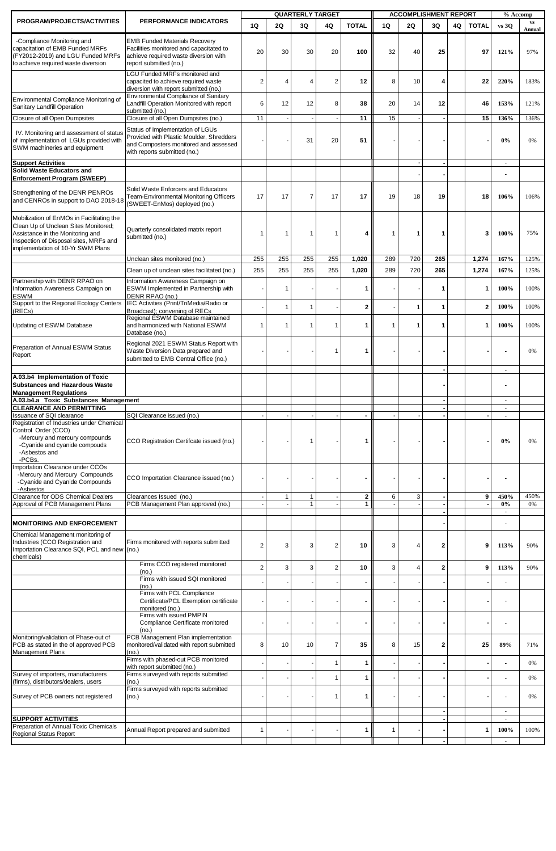|                                                                                                                                                                                                      |                                                                                                                                                       |                |                | <b>QUARTERLY TARGET</b>      |                |                   | <b>ACCOMPLISHMENT REPORT</b> |              |                |    | % Accomp     |                                  |                                  |
|------------------------------------------------------------------------------------------------------------------------------------------------------------------------------------------------------|-------------------------------------------------------------------------------------------------------------------------------------------------------|----------------|----------------|------------------------------|----------------|-------------------|------------------------------|--------------|----------------|----|--------------|----------------------------------|----------------------------------|
| PROGRAM/PROJECTS/ACTIVITIES                                                                                                                                                                          | PERFORMANCE INDICATORS                                                                                                                                | 1Q             | <b>2Q</b>      | 3Q                           | 4Q             | <b>TOTAL</b>      | 1Q                           | 2Q           | 3Q             | 4Q | <b>TOTAL</b> | $vs$ 30                          | $\mathbf{v}\mathbf{s}$<br>Annual |
| -Compliance Monitoring and<br>capacitation of EMB Funded MRFs<br>FY2012-2019) and LGU Funded MRFs<br>to achieve required waste diversion                                                             | <b>EMB Funded Materials Recovery</b><br>Facilities monitored and capacitated to<br>achieve required waste diversion with<br>report submitted (no.)    | 20             | 30             | 30                           | 20             | 100               | 32                           | 40           | 25             |    | 97           | 121%                             | 97%                              |
|                                                                                                                                                                                                      | LGU Funded MRFs monitored and<br>capacited to achieve required waste<br>diversion with report submitted (no.)                                         | 2              | 4              | $\overline{4}$               | $\overline{2}$ | 12                | 8                            | 10           | 4              |    | 22           | 220%                             | 183%                             |
| Environmental Compliance Monitoring of<br>Sanitary Landfill Operation                                                                                                                                | <b>Environmental Compliance of Sanitary</b><br>Landfill Operation Monitored with report<br>submitted (no.)                                            | 6              | 12             | 12                           | 8              | 38                | 20                           | 14           | 12             |    | 46           | 153%                             | 121%                             |
| Closure of all Open Dumpsites                                                                                                                                                                        | Closure of all Open Dumpsites (no.)                                                                                                                   | 11             |                |                              |                | 11                | 15                           |              |                |    | 15           | 136%                             | 136%                             |
| IV. Monitoring and assessment of status<br>of implementation of LGUs provided with<br>SWM machineries and equipment                                                                                  | Status of Implementation of LGUs<br>Provided with Plastic Moulder, Shredders<br>and Composters monitored and assessed<br>with reports submitted (no.) |                |                | 31                           | 20             | 51                |                              |              |                |    |              | 0%                               | 0%                               |
| <b>Support Activities</b><br>Solid Waste Educators and<br>Enforcement Program (SWEEP)                                                                                                                |                                                                                                                                                       |                |                |                              |                |                   |                              |              |                |    |              | $\blacksquare$<br>$\blacksquare$ |                                  |
| Strengthening of the DENR PENROs<br>and CENROs in support to DAO 2018-18                                                                                                                             | Solid Waste Enforcers and Educators<br>Team-Environmental Monitoring Officers<br>(SWEET-EnMos) deployed (no.)                                         | 17             | 17             | $\overline{7}$               | 17             | 17                | 19                           | 18           | 19             |    | 18           | 106%                             | 106%                             |
| Mobilization of EnMOs in Facilitating the<br>Clean Up of Unclean Sites Monitored;<br>Assistance in the Monitoring and<br>Inspection of Disposal sites, MRFs and<br>implementation of 10-Yr SWM Plans | Quarterly consolidated matrix report<br>submitted (no.)                                                                                               | 1              | $\mathbf 1$    | $\overline{1}$               | $\mathbf 1$    | 4                 | 1                            | 1            | 1              |    | 3            | 100%                             | 75%                              |
|                                                                                                                                                                                                      | Unclean sites monitored (no.)                                                                                                                         | 255            | 255            | 255                          | 255            | 1,020             | 289                          | 720          | 265            |    | 1,274        | 167%                             | 125%                             |
|                                                                                                                                                                                                      | Clean up of unclean sites facilitated (no.)                                                                                                           | 255            | 255            | 255                          | 255            | 1,020             | 289                          | 720          | 265            |    | 1,274        | 167%                             | 125%                             |
| Partnership with DENR RPAO on<br>Information Awareness Campaign on<br>ESWM                                                                                                                           | Information Awareness Campaign on<br>ESWM Implemented in Partnership with<br>DENR RPAO (no.)                                                          |                | $\mathbf 1$    |                              |                | 1                 |                              |              | $\mathbf 1$    |    | 1            | 100%                             | 100%                             |
| Support to the Regional Ecology Centers<br>(RECs)                                                                                                                                                    | IEC Activities (Print/TriMedia/Radio or<br>Broadcast); convening of RECs                                                                              |                | $\overline{1}$ | $\overline{1}$               |                | $\mathbf{2}$      |                              | $\mathbf{1}$ | $\overline{1}$ |    | $\mathbf{2}$ | 100%                             | 100%                             |
| Jpdating of ESWM Database                                                                                                                                                                            | Regional ESWM Database maintained<br>and harmonized with National ESWM<br>Database (no.)                                                              | $\mathbf 1$    | 1              | $\overline{1}$               | $\overline{1}$ | 1                 | 1                            | $\mathbf{1}$ | $\mathbf{1}$   |    | 1            | 100%                             | 100%                             |
| Preparation of Annual ESWM Status<br>Report                                                                                                                                                          | Regional 2021 ESWM Status Report with<br>Waste Diversion Data prepared and<br>submitted to EMB Central Office (no.)                                   |                |                |                              | -1             | 1                 |                              |              |                |    |              |                                  | 0%                               |
| A.03.b4 Implementation of Toxic<br><b>Substances and Hazardous Waste</b><br><b>Management Regulations</b>                                                                                            |                                                                                                                                                       |                |                |                              |                |                   |                              |              |                |    |              | $\blacksquare$                   |                                  |
| A.03.b4.a Toxic Substances Management                                                                                                                                                                |                                                                                                                                                       |                |                |                              |                |                   |                              |              |                |    |              | $\blacksquare$                   |                                  |
| <b>CLEARANCE AND PERMITTING</b><br><b>Issuance of SQI clearance</b>                                                                                                                                  | SQI Clearance issued (no.)                                                                                                                            |                |                |                              |                |                   |                              |              |                |    |              | $\blacksquare$                   |                                  |
| Registration of Industries under Chemical<br>Control Order (CCO)<br>-Mercury and mercury compounds<br>-Cyanide and cyanide compouds<br>-Asbestos and<br>-PCBs.                                       | CCO Registration Certifcate issued (no.)                                                                                                              |                |                | $\overline{\phantom{a}}$     |                | 1                 |                              |              |                |    |              | $0\%$                            | 0%                               |
| mportation Clearance under CCOs<br>-Mercury and Mercury Compounds<br>-Cyanide and Cyanide Compounds<br>-Asbestos                                                                                     | CCO Importation Clearance issued (no.)                                                                                                                |                |                |                              |                |                   |                              |              |                |    |              |                                  |                                  |
| Clearance for ODS Chemical Dealers<br>Approval of PCB Management Plans                                                                                                                               | Clearances Issued (no.)<br>PCB Management Plan approved (no.)                                                                                         |                | $\mathbf{1}$   | $\mathbf{1}$<br>$\mathbf{1}$ |                | $\mathbf{2}$<br>1 | 6                            | $\mathbf{3}$ |                |    | 9            | 450%<br>$0\%$                    | 450%<br>0%                       |
|                                                                                                                                                                                                      |                                                                                                                                                       |                |                |                              |                |                   |                              |              |                |    |              | $\blacksquare$                   |                                  |
| <b>MONITORING AND ENFORCEMENT</b>                                                                                                                                                                    |                                                                                                                                                       |                |                |                              |                |                   |                              |              |                |    |              |                                  |                                  |
| Chemical Management monitoring of<br>Industries (CCO Registration and<br>Importation Clearance SQI, PCL and new<br>chemicals)                                                                        | Firms monitored with reports submitted<br>(no.)                                                                                                       | 2              | 3              | 3                            | 2              | 10                | 3                            | 4            | $\overline{2}$ |    | 9            | 113%                             | 90%                              |
|                                                                                                                                                                                                      | Firms CCO registered monitored                                                                                                                        | $\overline{2}$ | 3              | 3                            | $\overline{2}$ | 10                | 3                            | 4            | $\overline{2}$ |    | 9            | 113%                             | 90%                              |
|                                                                                                                                                                                                      | (no.)<br>Firms with issued SQI monitored                                                                                                              |                |                |                              |                |                   |                              |              |                |    |              |                                  |                                  |
|                                                                                                                                                                                                      | (no.)<br>Firms with PCL Compliance<br>Certificate/PCL Exemption certificate                                                                           |                |                |                              |                |                   |                              |              |                |    |              |                                  |                                  |
|                                                                                                                                                                                                      | monitored (no.)<br>Firms with issued PMPIN<br>Compliance Certificate monitored                                                                        |                |                |                              |                |                   |                              |              |                |    |              |                                  |                                  |
| Monitoring/validation of Phase-out of<br>PCB as stated in the of approved PCB<br><b>Management Plans</b>                                                                                             | (no.)<br>PCB Management Plan implementation<br>monitored/validated with report submitted<br>(no.)                                                     | 8              | 10             | 10                           | $\overline{7}$ | 35                | 8                            | 15           | $\mathbf{2}$   |    | 25           | 89%                              | 71%                              |
|                                                                                                                                                                                                      | Firms with phased-out PCB monitored<br>with report submitted (no.)                                                                                    |                |                |                              | $\mathbf{1}$   | 1                 |                              |              |                |    |              |                                  | 0%                               |
| Survey of importers, manufacturers<br>(firms), distributors/dealers, users                                                                                                                           | Firms surveyed with reports submitted<br>(no.)                                                                                                        |                |                |                              | $\overline{1}$ | $\mathbf{1}$      |                              |              |                |    |              |                                  | 0%                               |
| Survey of PCB owners not registered                                                                                                                                                                  | Firms surveyed with reports submitted<br>(no.)                                                                                                        |                |                |                              | 1              | 1                 |                              |              |                |    |              |                                  | 0%                               |
|                                                                                                                                                                                                      |                                                                                                                                                       |                |                |                              |                |                   |                              |              |                |    |              | $\blacksquare$                   |                                  |
| <b>SUPPORT ACTIVITIES</b><br>Preparation of Annual Toxic Chemicals                                                                                                                                   |                                                                                                                                                       |                |                |                              |                |                   |                              |              |                |    |              | $\blacksquare$                   |                                  |
| <b>Regional Status Report</b>                                                                                                                                                                        | Annual Report prepared and submitted                                                                                                                  | $\overline{1}$ |                |                              |                | 1                 | 1                            |              |                |    | 1            | 100%                             | 100%                             |